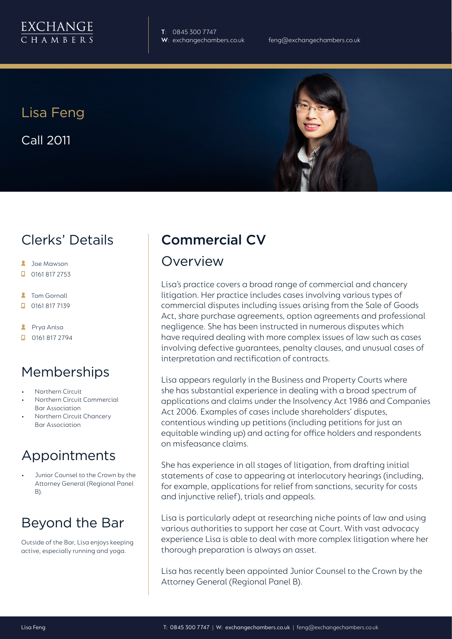

**T**: 0845 300 7747

Lisa Feng Call 2011



## Clerks' Details

- **2** Joe Mawson
- $\Box$  0161 817 2753
- **2** Tom Gornall
- 0161 817 7139
- **A** Prya Anisa
- $\Box$  0161 817 2794

## Memberships

- Northern Circuit
- Northern Circuit Commercial Bar Association
- Northern Circuit Chancery Bar Association

## Appointments

• Junior Counsel to the Crown by the Attorney General (Regional Panel B).

# Beyond the Bar

Outside of the Bar, Lisa enjoys keeping active, especially running and yoga.

# Commercial CV

#### Overview

Lisa's practice covers a broad range of commercial and chancery litigation. Her practice includes cases involving various types of commercial disputes including issues arising from the Sale of Goods Act, share purchase agreements, option agreements and professional negligence. She has been instructed in numerous disputes which have required dealing with more complex issues of law such as cases involving defective guarantees, penalty clauses, and unusual cases of interpretation and rectification of contracts.

Lisa appears regularly in the Business and Property Courts where she has substantial experience in dealing with a broad spectrum of applications and claims under the Insolvency Act 1986 and Companies Act 2006. Examples of cases include shareholders' disputes, contentious winding up petitions (including petitions for just an equitable winding up) and acting for office holders and respondents on misfeasance claims.

She has experience in all stages of litigation, from drafting initial statements of case to appearing at interlocutory hearings (including, for example, applications for relief from sanctions, security for costs and injunctive relief), trials and appeals.

Lisa is particularly adept at researching niche points of law and using various authorities to support her case at Court. With vast advocacy experience Lisa is able to deal with more complex litigation where her thorough preparation is always an asset.

Lisa has recently been appointed Junior Counsel to the Crown by the Attorney General (Regional Panel B).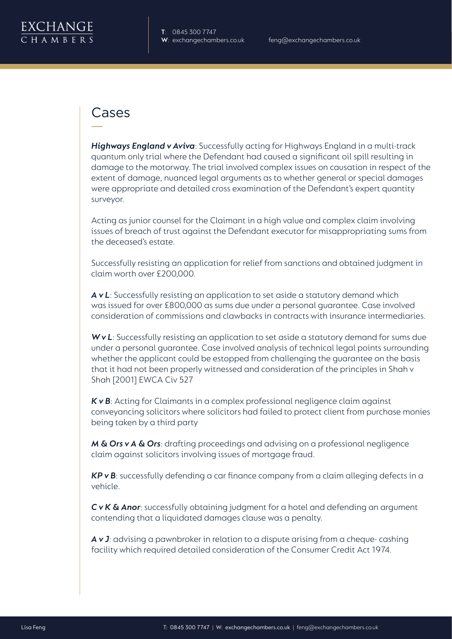

## Cases

*Highways England v Aviva*: Successfully acting for Highways England in a multi-track quantum only trial where the Defendant had caused a significant oil spill resulting in damage to the motorway. The trial involved complex issues on causation in respect of the extent of damage, nuanced legal arguments as to whether general or special damages were appropriate and detailed cross examination of the Defendant's expert quantity surveyor.

Acting as junior counsel for the Claimant in a high value and complex claim involving issues of breach of trust against the Defendant executor for misappropriating sums from the deceased's estate.

Successfully resisting an application for relief from sanctions and obtained judgment in claim worth over £200,000.

*A v L*: Successfully resisting an application to set aside a statutory demand which was issued for over £800,000 as sums due under a personal guarantee. Case involved consideration of commissions and clawbacks in contracts with insurance intermediaries.

*W v L*: Successfully resisting an application to set aside a statutory demand for sums due under a personal guarantee. Case involved analysis of technical legal points surrounding whether the applicant could be estopped from challenging the guarantee on the basis that it had not been properly witnessed and consideration of the principles in Shah v Shah [2001] EWCA Civ 527

*K v B*: Acting for Claimants in a complex professional negligence claim against conveyancing solicitors where solicitors had failed to protect client from purchase monies being taken by a third party

*M & Ors v A & Ors*: drafting proceedings and advising on a professional negligence claim against solicitors involving issues of mortgage fraud.

*KP v B*: successfully defending a car finance company from a claim alleging defects in a vehicle.

*C v K & Anor*: successfully obtaining judgment for a hotel and defending an argument contending that a liquidated damages clause was a penalty.

*A v J*: advising a pawnbroker in relation to a dispute arising from a cheque- cashing facility which required detailed consideration of the Consumer Credit Act 1974.